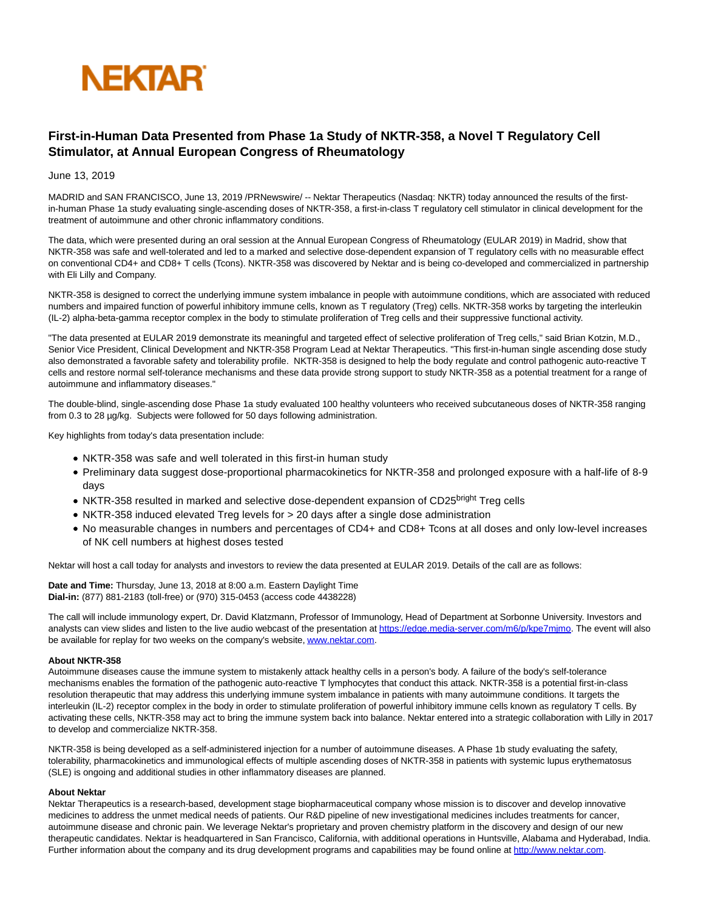

## **First-in-Human Data Presented from Phase 1a Study of NKTR-358, a Novel T Regulatory Cell Stimulator, at Annual European Congress of Rheumatology**

June 13, 2019

MADRID and SAN FRANCISCO, June 13, 2019 /PRNewswire/ -- Nektar Therapeutics (Nasdaq: NKTR) today announced the results of the firstin-human Phase 1a study evaluating single-ascending doses of NKTR-358, a first-in-class T regulatory cell stimulator in clinical development for the treatment of autoimmune and other chronic inflammatory conditions.

The data, which were presented during an oral session at the Annual European Congress of Rheumatology (EULAR 2019) in Madrid, show that NKTR-358 was safe and well-tolerated and led to a marked and selective dose-dependent expansion of T regulatory cells with no measurable effect on conventional CD4+ and CD8+ T cells (Tcons). NKTR-358 was discovered by Nektar and is being co-developed and commercialized in partnership with Eli Lilly and Company.

NKTR-358 is designed to correct the underlying immune system imbalance in people with autoimmune conditions, which are associated with reduced numbers and impaired function of powerful inhibitory immune cells, known as T regulatory (Treg) cells. NKTR-358 works by targeting the interleukin (IL-2) alpha-beta-gamma receptor complex in the body to stimulate proliferation of Treg cells and their suppressive functional activity.

"The data presented at EULAR 2019 demonstrate its meaningful and targeted effect of selective proliferation of Treg cells," said Brian Kotzin, M.D., Senior Vice President, Clinical Development and NKTR-358 Program Lead at Nektar Therapeutics. "This first-in-human single ascending dose study also demonstrated a favorable safety and tolerability profile. NKTR-358 is designed to help the body regulate and control pathogenic auto-reactive T cells and restore normal self-tolerance mechanisms and these data provide strong support to study NKTR-358 as a potential treatment for a range of autoimmune and inflammatory diseases."

The double-blind, single-ascending dose Phase 1a study evaluated 100 healthy volunteers who received subcutaneous doses of NKTR-358 ranging from 0.3 to 28 µg/kg. Subjects were followed for 50 days following administration.

Key highlights from today's data presentation include:

- NKTR-358 was safe and well tolerated in this first-in human study
- Preliminary data suggest dose-proportional pharmacokinetics for NKTR-358 and prolonged exposure with a half-life of 8-9 days
- NKTR-358 resulted in marked and selective dose-dependent expansion of CD25bright Treg cells
- NKTR-358 induced elevated Treg levels for > 20 days after a single dose administration
- No measurable changes in numbers and percentages of CD4+ and CD8+ Tcons at all doses and only low-level increases of NK cell numbers at highest doses tested

Nektar will host a call today for analysts and investors to review the data presented at EULAR 2019. Details of the call are as follows:

**Date and Time:** Thursday, June 13, 2018 at 8:00 a.m. Eastern Daylight Time **Dial-in:** (877) 881-2183 (toll-free) or (970) 315-0453 (access code 4438228)

The call will include immunology expert, Dr. David Klatzmann, Professor of Immunology, Head of Department at Sorbonne University. Investors and analysts can view slides and listen to the live audio webcast of the presentation at [https://edge.media-server.com/m6/p/kpe7mjmo.](https://c212.net/c/link/?t=0&l=en&o=2494792-1&h=3158398300&u=https%3A%2F%2Fedge.media-server.com%2Fm6%2Fp%2Fkpe7mjmo&a=https%3A%2F%2Fedge.media-server.com%2Fm6%2Fp%2Fkpe7mjmo) The event will also be available for replay for two weeks on the company's website[, www.nektar.com.](https://c212.net/c/link/?t=0&l=en&o=2494792-1&h=703766150&u=http%3A%2F%2Fwww.nektar.com%2F&a=www.nektar.com)

## **About NKTR-358**

Autoimmune diseases cause the immune system to mistakenly attack healthy cells in a person's body. A failure of the body's self-tolerance mechanisms enables the formation of the pathogenic auto-reactive T lymphocytes that conduct this attack. NKTR-358 is a potential first-in-class resolution therapeutic that may address this underlying immune system imbalance in patients with many autoimmune conditions. It targets the interleukin (IL-2) receptor complex in the body in order to stimulate proliferation of powerful inhibitory immune cells known as regulatory T cells. By activating these cells, NKTR-358 may act to bring the immune system back into balance. Nektar entered into a strategic collaboration with Lilly in 2017 to develop and commercialize NKTR-358.

NKTR-358 is being developed as a self-administered injection for a number of autoimmune diseases. A Phase 1b study evaluating the safety, tolerability, pharmacokinetics and immunological effects of multiple ascending doses of NKTR-358 in patients with systemic lupus erythematosus (SLE) is ongoing and additional studies in other inflammatory diseases are planned.

## **About Nektar**

Nektar Therapeutics is a research-based, development stage biopharmaceutical company whose mission is to discover and develop innovative medicines to address the unmet medical needs of patients. Our R&D pipeline of new investigational medicines includes treatments for cancer, autoimmune disease and chronic pain. We leverage Nektar's proprietary and proven chemistry platform in the discovery and design of our new therapeutic candidates. Nektar is headquartered in San Francisco, California, with additional operations in Huntsville, Alabama and Hyderabad, India. Further information about the company and its drug development programs and capabilities may be found online at [http://www.nektar.com.](https://c212.net/c/link/?t=0&l=en&o=2494792-1&h=3715399521&u=http%3A%2F%2Fwww.nektar.com%2F&a=http%3A%2F%2Fwww.nektar.com)